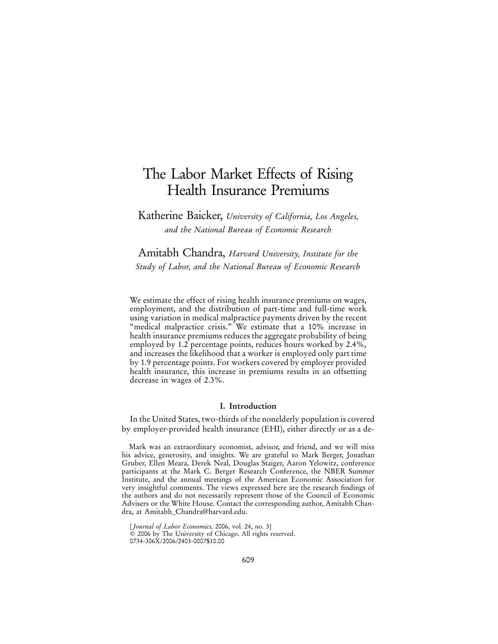# The Labor Market Effects of Rising Health Insurance Premiums

Katherine Baicker, *University of California, Los Angeles, and the National Bureau of Economic Research*

Amitabh Chandra, *Harvard University, Institute for the Study of Labor, and the National Bureau of Economic Research*

We estimate the effect of rising health insurance premiums on wages, employment, and the distribution of part-time and full-time work using variation in medical malpractice payments driven by the recent "medical malpractice crisis." We estimate that a 10% increase in health insurance premiums reduces the aggregate probability of being employed by 1.2 percentage points, reduces hours worked by 2.4%, and increases the likelihood that a worker is employed only part time by 1.9 percentage points. For workers covered by employer provided health insurance, this increase in premiums results in an offsetting decrease in wages of 2.3%.

## **I. Introduction**

In the United States, two-thirds of the nonelderly population is covered by employer-provided health insurance (EHI), either directly or as a de-

Mark was an extraordinary economist, advisor, and friend, and we will miss his advice, generosity, and insights. We are grateful to Mark Berger, Jonathan Gruber, Ellen Meara, Derek Neal, Douglas Staiger, Aaron Yelowitz, conference participants at the Mark C. Berger Research Conference, the NBER Summer Institute, and the annual meetings of the American Economic Association for very insightful comments. The views expressed here are the research findings of the authors and do not necessarily represent those of the Council of Economic Advisers or the White House. Contact the corresponding author, Amitabh Chandra, at Amitabh\_Chandra@harvard.edu.

[*Journal of Labor Economics,* 2006, vol. 24, no. 3]

2006 by The University of Chicago. All rights reserved.

0734-306X/2006/2403-0007\$10.00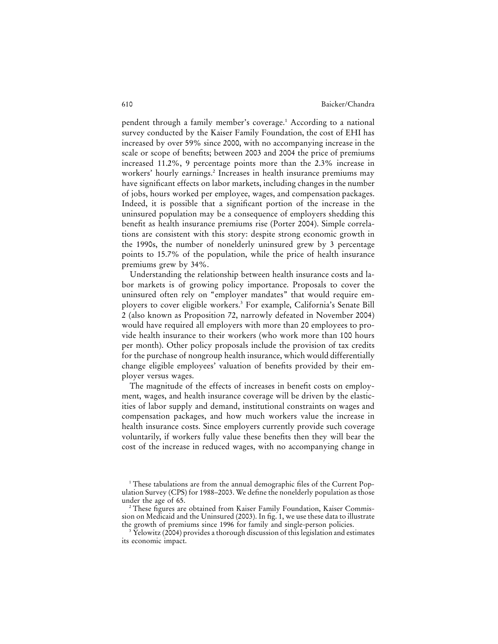pendent through a family member's coverage.<sup>1</sup> According to a national survey conducted by the Kaiser Family Foundation, the cost of EHI has increased by over 59% since 2000, with no accompanying increase in the scale or scope of benefits; between 2003 and 2004 the price of premiums increased 11.2%, 9 percentage points more than the 2.3% increase in workers' hourly earnings.<sup>2</sup> Increases in health insurance premiums may have significant effects on labor markets, including changes in the number of jobs, hours worked per employee, wages, and compensation packages. Indeed, it is possible that a significant portion of the increase in the uninsured population may be a consequence of employers shedding this benefit as health insurance premiums rise (Porter 2004). Simple correlations are consistent with this story: despite strong economic growth in the 1990s, the number of nonelderly uninsured grew by 3 percentage points to 15.7% of the population, while the price of health insurance premiums grew by 34%.

Understanding the relationship between health insurance costs and labor markets is of growing policy importance. Proposals to cover the uninsured often rely on "employer mandates" that would require employers to cover eligible workers.<sup>3</sup> For example, California's Senate Bill 2 (also known as Proposition 72, narrowly defeated in November 2004) would have required all employers with more than 20 employees to provide health insurance to their workers (who work more than 100 hours per month). Other policy proposals include the provision of tax credits for the purchase of nongroup health insurance, which would differentially change eligible employees' valuation of benefits provided by their employer versus wages.

The magnitude of the effects of increases in benefit costs on employment, wages, and health insurance coverage will be driven by the elasticities of labor supply and demand, institutional constraints on wages and compensation packages, and how much workers value the increase in health insurance costs. Since employers currently provide such coverage voluntarily, if workers fully value these benefits then they will bear the cost of the increase in reduced wages, with no accompanying change in

<sup>&</sup>lt;sup>1</sup> These tabulations are from the annual demographic files of the Current Population Survey (CPS) for 1988–2003. We define the nonelderly population as those under the age of 65.

<sup>&</sup>lt;sup>2</sup> These figures are obtained from Kaiser Family Foundation, Kaiser Commission on Medicaid and the Uninsured (2003). In fig. 1, we use these data to illustrate the growth of premiums since 1996 for family and single-person policies.

 $3\,$  Yelowitz (2004) provides a thorough discussion of this legislation and estimates its economic impact.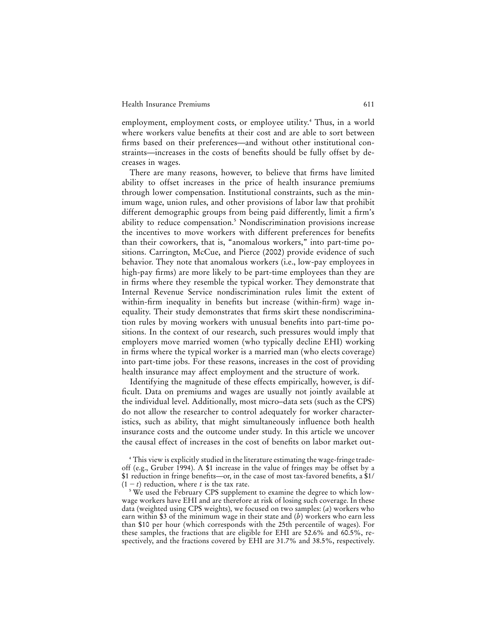employment, employment costs, or employee utility.<sup>4</sup> Thus, in a world where workers value benefits at their cost and are able to sort between firms based on their preferences—and without other institutional constraints—increases in the costs of benefits should be fully offset by decreases in wages.

There are many reasons, however, to believe that firms have limited ability to offset increases in the price of health insurance premiums through lower compensation. Institutional constraints, such as the minimum wage, union rules, and other provisions of labor law that prohibit different demographic groups from being paid differently, limit a firm's ability to reduce compensation.<sup>5</sup> Nondiscrimination provisions increase the incentives to move workers with different preferences for benefits than their coworkers, that is, "anomalous workers," into part-time positions. Carrington, McCue, and Pierce (2002) provide evidence of such behavior. They note that anomalous workers (i.e., low-pay employees in high-pay firms) are more likely to be part-time employees than they are in firms where they resemble the typical worker. They demonstrate that Internal Revenue Service nondiscrimination rules limit the extent of within-firm inequality in benefits but increase (within-firm) wage inequality. Their study demonstrates that firms skirt these nondiscrimination rules by moving workers with unusual benefits into part-time positions. In the context of our research, such pressures would imply that employers move married women (who typically decline EHI) working in firms where the typical worker is a married man (who elects coverage) into part-time jobs. For these reasons, increases in the cost of providing health insurance may affect employment and the structure of work.

Identifying the magnitude of these effects empirically, however, is difficult. Data on premiums and wages are usually not jointly available at the individual level. Additionally, most micro–data sets (such as the CPS) do not allow the researcher to control adequately for worker characteristics, such as ability, that might simultaneously influence both health insurance costs and the outcome under study. In this article we uncover the causal effect of increases in the cost of benefits on labor market out-

<sup>4</sup> This view is explicitly studied in the literature estimating the wage-fringe tradeoff (e.g., Gruber 1994). A \$1 increase in the value of fringes may be offset by a \$1 reduction in fringe benefits—or, in the case of most tax-favored benefits, a \$1/  $(1 - t)$  reduction, where *t* is the tax rate.

<sup>&</sup>lt;sup>5</sup> We used the February CPS supplement to examine the degree to which lowwage workers have EHI and are therefore at risk of losing such coverage. In these data (weighted using CPS weights), we focused on two samples: (*a*) workers who earn within \$3 of the minimum wage in their state and (*b*) workers who earn less than \$10 per hour (which corresponds with the 25th percentile of wages). For these samples, the fractions that are eligible for EHI are 52.6% and 60.5%, respectively, and the fractions covered by EHI are 31.7% and 38.5%, respectively.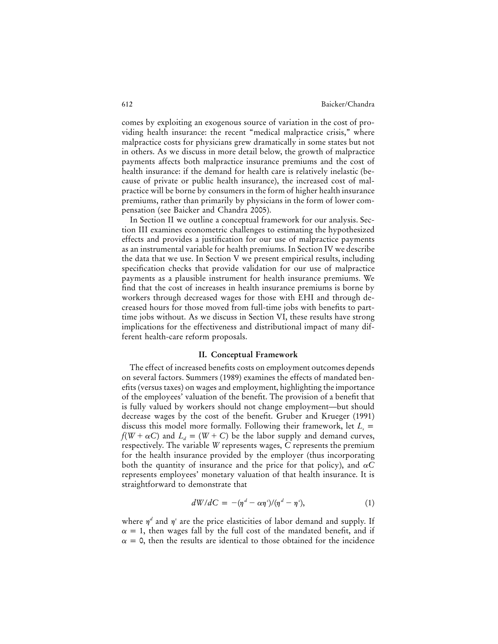comes by exploiting an exogenous source of variation in the cost of providing health insurance: the recent "medical malpractice crisis," where malpractice costs for physicians grew dramatically in some states but not in others. As we discuss in more detail below, the growth of malpractice payments affects both malpractice insurance premiums and the cost of health insurance: if the demand for health care is relatively inelastic (because of private or public health insurance), the increased cost of malpractice will be borne by consumers in the form of higher health insurance premiums, rather than primarily by physicians in the form of lower compensation (see Baicker and Chandra 2005).

In Section II we outline a conceptual framework for our analysis. Section III examines econometric challenges to estimating the hypothesized effects and provides a justification for our use of malpractice payments as an instrumental variable for health premiums. In Section IV we describe the data that we use. In Section V we present empirical results, including specification checks that provide validation for our use of malpractice payments as a plausible instrument for health insurance premiums. We find that the cost of increases in health insurance premiums is borne by workers through decreased wages for those with EHI and through decreased hours for those moved from full-time jobs with benefits to parttime jobs without. As we discuss in Section VI, these results have strong implications for the effectiveness and distributional impact of many different health-care reform proposals.

## **II. Conceptual Framework**

The effect of increased benefits costs on employment outcomes depends on several factors. Summers (1989) examines the effects of mandated benefits (versus taxes) on wages and employment, highlighting the importance of the employees' valuation of the benefit. The provision of a benefit that is fully valued by workers should not change employment—but should decrease wages by the cost of the benefit. Gruber and Krueger (1991) discuss this model more formally. Following their framework, let  $L<sub>s</sub>$  =  $f(W + \alpha C)$  and  $L_d = (W + C)$  be the labor supply and demand curves, respectively. The variable *W* represents wages, *C* represents the premium for the health insurance provided by the employer (thus incorporating both the quantity of insurance and the price for that policy), and  $\alpha C$ represents employees' monetary valuation of that health insurance. It is straightforward to demonstrate that

$$
dW/dC = -(\eta^d - \alpha \eta^s)/(\eta^d - \eta^s), \qquad (1)
$$

where  $\eta^d$  and  $\eta^s$  are the price elasticities of labor demand and supply. If  $\alpha = 1$ , then wages fall by the full cost of the mandated benefit, and if  $\alpha = 0$ , then the results are identical to those obtained for the incidence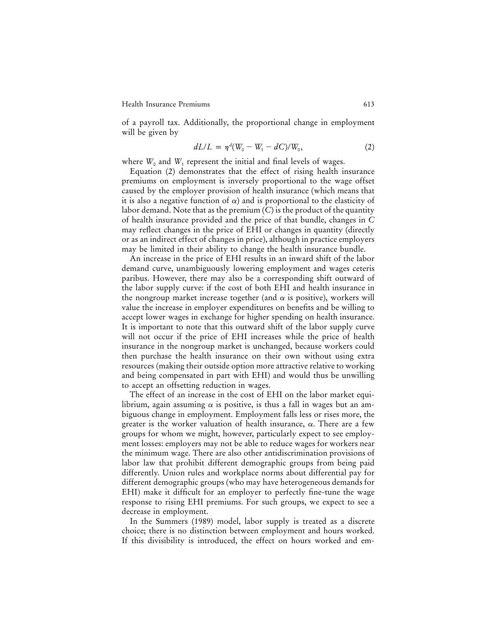of a payroll tax. Additionally, the proportional change in employment will be given by

$$
dL/L = \eta^d(W_0 - W_1 - dC)/W_0, \qquad (2)
$$

where  $W_0$  and  $W_1$  represent the initial and final levels of wages.

Equation (2) demonstrates that the effect of rising health insurance premiums on employment is inversely proportional to the wage offset caused by the employer provision of health insurance (which means that it is also a negative function of  $\alpha$ ) and is proportional to the elasticity of labor demand. Note that as the premium (*C*) is the product of the quantity of health insurance provided and the price of that bundle, changes in *C* may reflect changes in the price of EHI or changes in quantity (directly or as an indirect effect of changes in price), although in practice employers may be limited in their ability to change the health insurance bundle.

An increase in the price of EHI results in an inward shift of the labor demand curve, unambiguously lowering employment and wages ceteris paribus. However, there may also be a corresponding shift outward of the labor supply curve: if the cost of both EHI and health insurance in the nongroup market increase together (and  $\alpha$  is positive), workers will value the increase in employer expenditures on benefits and be willing to accept lower wages in exchange for higher spending on health insurance. It is important to note that this outward shift of the labor supply curve will not occur if the price of EHI increases while the price of health insurance in the nongroup market is unchanged, because workers could then purchase the health insurance on their own without using extra resources (making their outside option more attractive relative to working and being compensated in part with EHI) and would thus be unwilling to accept an offsetting reduction in wages.

The effect of an increase in the cost of EHI on the labor market equilibrium, again assuming  $\alpha$  is positive, is thus a fall in wages but an ambiguous change in employment. Employment falls less or rises more, the greater is the worker valuation of health insurance,  $\alpha$ . There are a few groups for whom we might, however, particularly expect to see employment losses: employers may not be able to reduce wages for workers near the minimum wage. There are also other antidiscrimination provisions of labor law that prohibit different demographic groups from being paid differently. Union rules and workplace norms about differential pay for different demographic groups (who may have heterogeneous demands for EHI) make it difficult for an employer to perfectly fine-tune the wage response to rising EHI premiums. For such groups, we expect to see a decrease in employment.

In the Summers (1989) model, labor supply is treated as a discrete choice; there is no distinction between employment and hours worked. If this divisibility is introduced, the effect on hours worked and em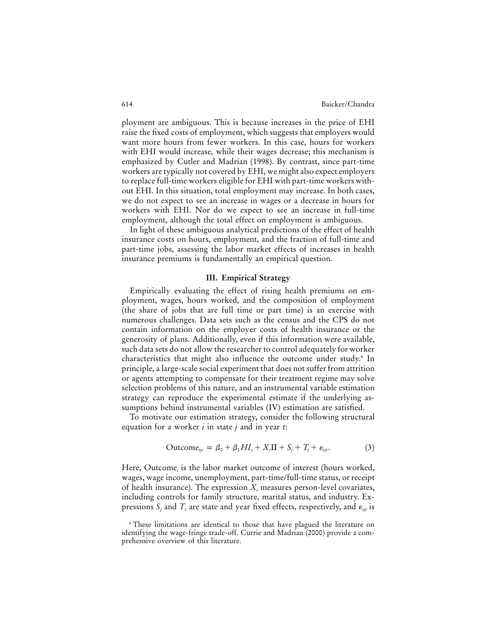ployment are ambiguous. This is because increases in the price of EHI raise the fixed costs of employment, which suggests that employers would want more hours from fewer workers. In this case, hours for workers with EHI would increase, while their wages decrease; this mechanism is emphasized by Cutler and Madrian (1998). By contrast, since part-time workers are typically not covered by EHI, we might also expect employers to replace full-time workers eligible for EHI with part-time workers without EHI. In this situation, total employment may increase. In both cases, we do not expect to see an increase in wages or a decrease in hours for workers with EHI. Nor do we expect to see an increase in full-time employment, although the total effect on employment is ambiguous.

In light of these ambiguous analytical predictions of the effect of health insurance costs on hours, employment, and the fraction of full-time and part-time jobs, assessing the labor market effects of increases in health insurance premiums is fundamentally an empirical question.

## **III. Empirical Strategy**

Empirically evaluating the effect of rising health premiums on employment, wages, hours worked, and the composition of employment (the share of jobs that are full time or part time) is an exercise with numerous challenges. Data sets such as the census and the CPS do not contain information on the employer costs of health insurance or the generosity of plans. Additionally, even if this information were available, such data sets do not allow the researcher to control adequately for worker characteristics that might also influence the outcome under study.<sup>6</sup> In principle, a large-scale social experiment that does not suffer from attrition or agents attempting to compensate for their treatment regime may solve selection problems of this nature, and an instrumental variable estimation strategy can reproduce the experimental estimate if the underlying assumptions behind instrumental variables (IV) estimation are satisfied.

To motivate our estimation strategy, consider the following structural equation for a worker *i* in state *j* and in year *t*:

$$
\text{Outcome}_{ijt} = \beta_0 + \beta_1 H I_i + X_i \Pi + S_j + T_t + \varepsilon_{ijt}.
$$
 (3)

Here, Outcome*<sup>i</sup>* is the labor market outcome of interest (hours worked, wages, wage income, unemployment, part-time/full-time status, or receipt of health insurance). The expression  $X_i$  measures person-level covariates, including controls for family structure, marital status, and industry. Expressions  $S_i$  and  $T_t$  are state and year fixed effects, respectively, and  $\varepsilon_{ijt}$  is

<sup>6</sup> These limitations are identical to those that have plagued the literature on identifying the wage-fringe trade-off. Currie and Madrian (2000) provide a comprehensive overview of this literature.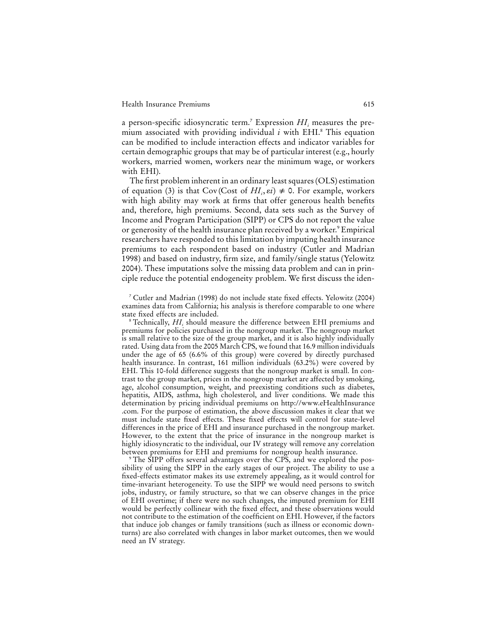a person-specific idiosyncratic term.7 Expression *HIi* measures the premium associated with providing individual *i* with EHI.<sup>8</sup> This equation can be modified to include interaction effects and indicator variables for certain demographic groups that may be of particular interest (e.g., hourly workers, married women, workers near the minimum wage, or workers with EHI).

The first problem inherent in an ordinary least squares (OLS) estimation of equation (3) is that  $Cov$  (Cost of  $HI_i$ ,  $ei$ )  $\neq$  0. For example, workers with high ability may work at firms that offer generous health benefits and, therefore, high premiums. Second, data sets such as the Survey of Income and Program Participation (SIPP) or CPS do not report the value or generosity of the health insurance plan received by a worker.<sup>9</sup> Empirical researchers have responded to this limitation by imputing health insurance premiums to each respondent based on industry (Cutler and Madrian 1998) and based on industry, firm size, and family/single status (Yelowitz 2004). These imputations solve the missing data problem and can in principle reduce the potential endogeneity problem. We first discuss the iden-

<sup>7</sup> Cutler and Madrian (1998) do not include state fixed effects. Yelowitz (2004) examines data from California; his analysis is therefore comparable to one where state fixed effects are included.

<sup>8</sup> Technically, *HI<sub>i</sub>* should measure the difference between EHI premiums and premiums for policies purchased in the nongroup market. The nongroup market is small relative to the size of the group market, and it is also highly individually rated. Using data from the 2005 March CPS, we found that 16.9 million individuals under the age of 65 (6.6% of this group) were covered by directly purchased health insurance. In contrast, 161 million individuals (63.2%) were covered by EHI. This 10-fold difference suggests that the nongroup market is small. In contrast to the group market, prices in the nongroup market are affected by smoking, age, alcohol consumption, weight, and preexisting conditions such as diabetes, hepatitis, AIDS, asthma, high cholesterol, and liver conditions. We made this determination by pricing individual premiums on http://www.eHealthInsurance .com. For the purpose of estimation, the above discussion makes it clear that we must include state fixed effects. These fixed effects will control for state-level differences in the price of EHI and insurance purchased in the nongroup market. However, to the extent that the price of insurance in the nongroup market is highly idiosyncratic to the individual, our IV strategy will remove any correlation between premiums for EHI and premiums for nongroup health insurance.

The SIPP offers several advantages over the CPS, and we explored the possibility of using the SIPP in the early stages of our project. The ability to use a fixed-effects estimator makes its use extremely appealing, as it would control for time-invariant heterogeneity. To use the SIPP we would need persons to switch jobs, industry, or family structure, so that we can observe changes in the price of EHI overtime; if there were no such changes, the imputed premium for EHI would be perfectly collinear with the fixed effect, and these observations would not contribute to the estimation of the coefficient on EHI. However, if the factors that induce job changes or family transitions (such as illness or economic downturns) are also correlated with changes in labor market outcomes, then we would need an IV strategy.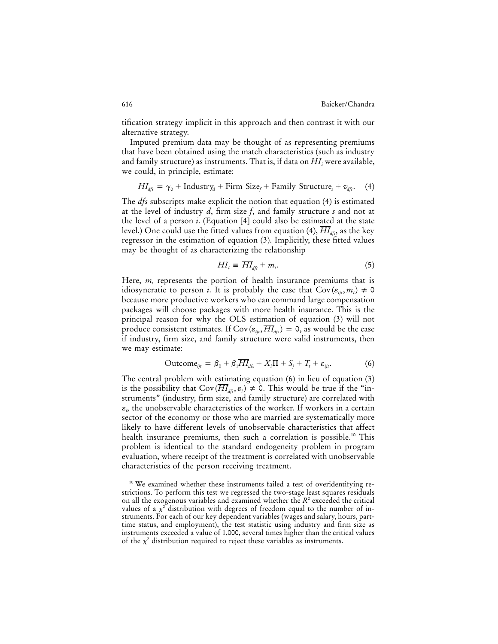tification strategy implicit in this approach and then contrast it with our alternative strategy.

Imputed premium data may be thought of as representing premiums that have been obtained using the match characteristics (such as industry and family structure) as instruments. That is, if data on *HI<sub>i</sub>* were available, we could, in principle, estimate:

$$
HI_{dfs} = \gamma_0 + \text{Industry}_d + \text{Firm Size}_f + \text{Family Structure}_s + v_{dfs}. \tag{4}
$$

The *dfs* subscripts make explicit the notion that equation (4) is estimated at the level of industry *d*, firm size *f*, and family structure *s* and not at the level of a person *i*. (Equation [4] could also be estimated at the state level.) One could use the fitted values from equation (4),  $\overline{HI}_{ds}$ , as the key regressor in the estimation of equation (3). Implicitly, these fitted values may be thought of as characterizing the relationship

$$
H I_i \equiv \overline{H I_{dfs}} + m_i. \tag{5}
$$

Here,  $m<sub>i</sub>$  represents the portion of health insurance premiums that is idiosyncratic to person *i*. It is probably the case that  $Cov(\varepsilon_{ii}, m_i) \neq 0$ because more productive workers who can command large compensation packages will choose packages with more health insurance. This is the principal reason for why the OLS estimation of equation (3) will not produce consistent estimates. If  $Cov(\varepsilon_{ijt}, \overline{H I}_{ds}) = 0$ , as would be the case if industry, firm size, and family structure were valid instruments, then we may estimate:

$$
\text{Outcome}_{ijt} = \beta_0 + \beta_1 \overline{H I}_{dfs} + X_i \Pi + S_j + T_t + \varepsilon_{ijt}.
$$
 (6)

The central problem with estimating equation (6) in lieu of equation (3) is the possibility that  $Cov(\overline{HI}_{dfs}, \varepsilon_i) \neq 0$ . This would be true if the "instruments" (industry, firm size, and family structure) are correlated with  $\varepsilon$ <sub>i</sub>, the unobservable characteristics of the worker. If workers in a certain sector of the economy or those who are married are systematically more likely to have different levels of unobservable characteristics that affect health insurance premiums, then such a correlation is possible.<sup>10</sup> This problem is identical to the standard endogeneity problem in program evaluation, where receipt of the treatment is correlated with unobservable characteristics of the person receiving treatment.

<sup>&</sup>lt;sup>10</sup> We examined whether these instruments failed a test of overidentifying restrictions. To perform this test we regressed the two-stage least squares residuals on all the exogenous variables and examined whether the *R*<sup>2</sup> exceeded the critical values of a  $\chi^2$  distribution with degrees of freedom equal to the number of instruments. For each of our key dependent variables (wages and salary, hours, parttime status, and employment), the test statistic using industry and firm size as instruments exceeded a value of 1,000, several times higher than the critical values of the  $\chi^2$  distribution required to reject these variables as instruments.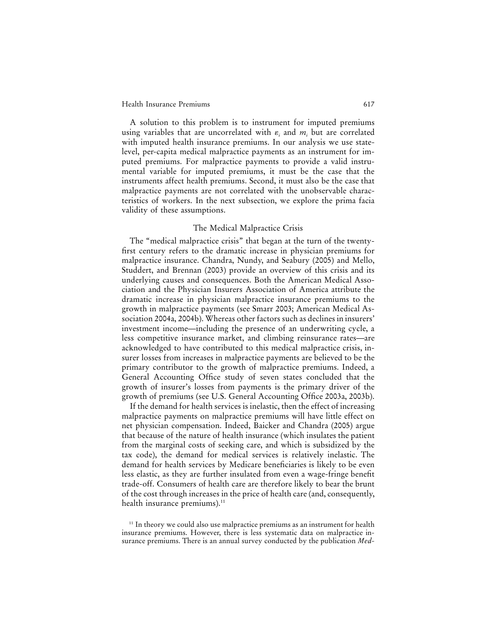A solution to this problem is to instrument for imputed premiums using variables that are uncorrelated with  $\varepsilon$  and  $m$ , but are correlated with imputed health insurance premiums. In our analysis we use statelevel, per-capita medical malpractice payments as an instrument for imputed premiums. For malpractice payments to provide a valid instrumental variable for imputed premiums, it must be the case that the instruments affect health premiums. Second, it must also be the case that malpractice payments are not correlated with the unobservable characteristics of workers. In the next subsection, we explore the prima facia validity of these assumptions.

## The Medical Malpractice Crisis

The "medical malpractice crisis" that began at the turn of the twentyfirst century refers to the dramatic increase in physician premiums for malpractice insurance. Chandra, Nundy, and Seabury (2005) and Mello, Studdert, and Brennan (2003) provide an overview of this crisis and its underlying causes and consequences. Both the American Medical Association and the Physician Insurers Association of America attribute the dramatic increase in physician malpractice insurance premiums to the growth in malpractice payments (see Smarr 2003; American Medical Association 2004a, 2004b). Whereas other factors such as declines in insurers' investment income—including the presence of an underwriting cycle, a less competitive insurance market, and climbing reinsurance rates—are acknowledged to have contributed to this medical malpractice crisis, insurer losses from increases in malpractice payments are believed to be the primary contributor to the growth of malpractice premiums. Indeed, a General Accounting Office study of seven states concluded that the growth of insurer's losses from payments is the primary driver of the growth of premiums (see U.S. General Accounting Office 2003a, 2003b).

If the demand for health services is inelastic, then the effect of increasing malpractice payments on malpractice premiums will have little effect on net physician compensation. Indeed, Baicker and Chandra (2005) argue that because of the nature of health insurance (which insulates the patient from the marginal costs of seeking care, and which is subsidized by the tax code), the demand for medical services is relatively inelastic. The demand for health services by Medicare beneficiaries is likely to be even less elastic, as they are further insulated from even a wage-fringe benefit trade-off. Consumers of health care are therefore likely to bear the brunt of the cost through increases in the price of health care (and, consequently, health insurance premiums).<sup>11</sup>

<sup>11</sup> In theory we could also use malpractice premiums as an instrument for health insurance premiums. However, there is less systematic data on malpractice insurance premiums. There is an annual survey conducted by the publication *Med-*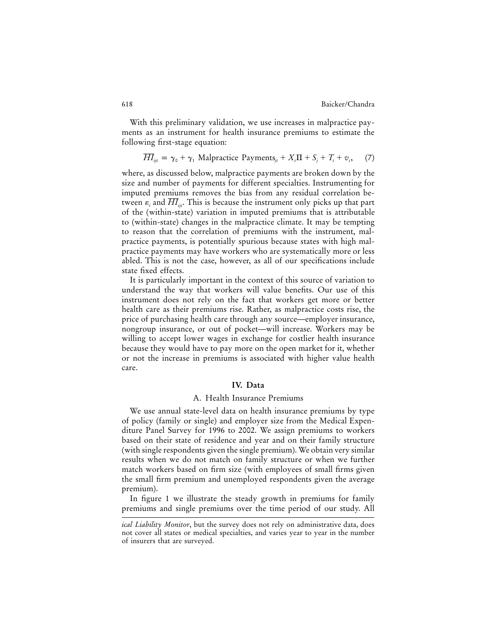With this preliminary validation, we use increases in malpractice payments as an instrument for health insurance premiums to estimate the following first-stage equation:

$$
\overline{HI}_{ijt} = \gamma_0 + \gamma_1 \text{ Malpractice Payments}_{jt} + X_i \Pi + S_j + T_t + v_i, \quad (7)
$$

where, as discussed below, malpractice payments are broken down by the size and number of payments for different specialties. Instrumenting for imputed premiums removes the bias from any residual correlation between  $\varepsilon_i$  and  $\overline{HI}_{\dot{m}t}$ . This is because the instrument only picks up that part of the (within-state) variation in imputed premiums that is attributable to (within-state) changes in the malpractice climate. It may be tempting to reason that the correlation of premiums with the instrument, malpractice payments, is potentially spurious because states with high malpractice payments may have workers who are systematically more or less abled. This is not the case, however, as all of our specifications include state fixed effects.

It is particularly important in the context of this source of variation to understand the way that workers will value benefits. Our use of this instrument does not rely on the fact that workers get more or better health care as their premiums rise. Rather, as malpractice costs rise, the price of purchasing health care through any source—employer insurance, nongroup insurance, or out of pocket—will increase. Workers may be willing to accept lower wages in exchange for costlier health insurance because they would have to pay more on the open market for it, whether or not the increase in premiums is associated with higher value health care.

## **IV. Data**

## A. Health Insurance Premiums

We use annual state-level data on health insurance premiums by type of policy (family or single) and employer size from the Medical Expenditure Panel Survey for 1996 to 2002. We assign premiums to workers based on their state of residence and year and on their family structure (with single respondents given the single premium). We obtain very similar results when we do not match on family structure or when we further match workers based on firm size (with employees of small firms given the small firm premium and unemployed respondents given the average premium).

In figure 1 we illustrate the steady growth in premiums for family premiums and single premiums over the time period of our study. All

*ical Liability Monitor*, but the survey does not rely on administrative data, does not cover all states or medical specialties, and varies year to year in the number of insurers that are surveyed.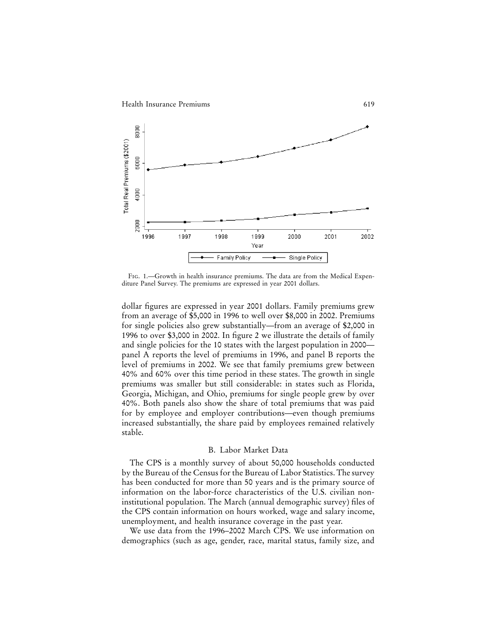

FIG. 1.-Growth in health insurance premiums. The data are from the Medical Expenditure Panel Survey. The premiums are expressed in year 2001 dollars.

dollar figures are expressed in year 2001 dollars. Family premiums grew from an average of \$5,000 in 1996 to well over \$8,000 in 2002. Premiums for single policies also grew substantially—from an average of \$2,000 in 1996 to over \$3,000 in 2002. In figure 2 we illustrate the details of family and single policies for the 10 states with the largest population in 2000 panel A reports the level of premiums in 1996, and panel B reports the level of premiums in 2002. We see that family premiums grew between 40% and 60% over this time period in these states. The growth in single premiums was smaller but still considerable: in states such as Florida, Georgia, Michigan, and Ohio, premiums for single people grew by over 40%. Both panels also show the share of total premiums that was paid for by employee and employer contributions—even though premiums increased substantially, the share paid by employees remained relatively stable.

## B. Labor Market Data

The CPS is a monthly survey of about 50,000 households conducted by the Bureau of the Census for the Bureau of Labor Statistics. The survey has been conducted for more than 50 years and is the primary source of information on the labor-force characteristics of the U.S. civilian noninstitutional population. The March (annual demographic survey) files of the CPS contain information on hours worked, wage and salary income, unemployment, and health insurance coverage in the past year.

We use data from the 1996–2002 March CPS. We use information on demographics (such as age, gender, race, marital status, family size, and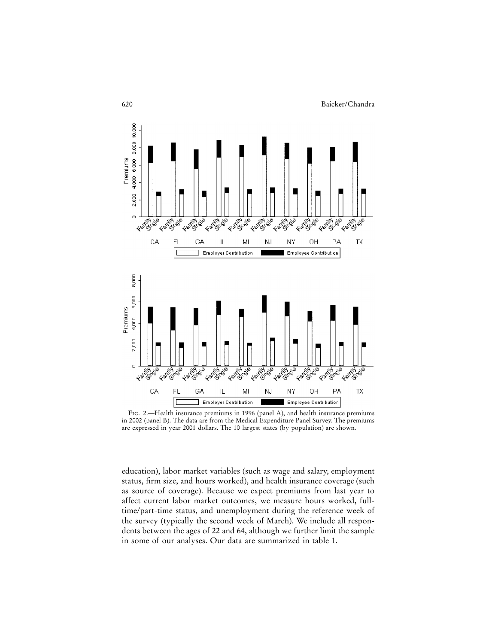

Fig. 2.—Health insurance premiums in 1996 (panel A), and health insurance premiums in 2002 (panel B). The data are from the Medical Expenditure Panel Survey. The premiums are expressed in year 2001 dollars. The 10 largest states (by population) are shown.

education), labor market variables (such as wage and salary, employment status, firm size, and hours worked), and health insurance coverage (such as source of coverage). Because we expect premiums from last year to affect current labor market outcomes, we measure hours worked, fulltime/part-time status, and unemployment during the reference week of the survey (typically the second week of March). We include all respondents between the ages of 22 and 64, although we further limit the sample in some of our analyses. Our data are summarized in table 1.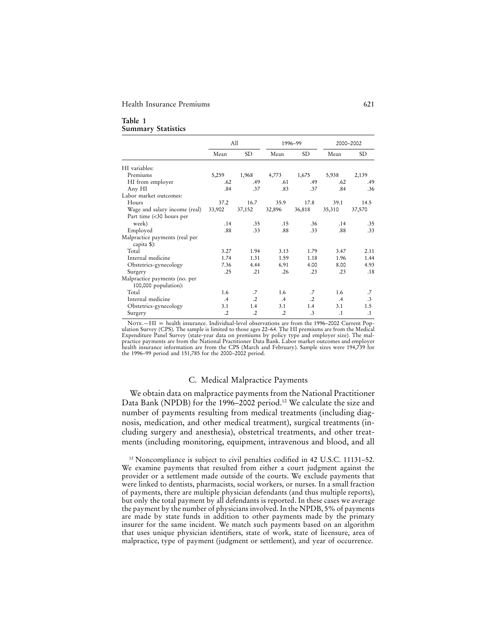## **Table 1**

**Summary Statistics**

|                                           |         | All     |                      | 1996-99              | 2000-2002 |                      |  |
|-------------------------------------------|---------|---------|----------------------|----------------------|-----------|----------------------|--|
|                                           | Mean    | SD.     | Mean                 | SD.                  | Mean      | SD                   |  |
| HI variables:                             |         |         |                      |                      |           |                      |  |
| Premiums                                  | 5,259   | 1,968   | 4,773                | 1,675                | 5,938     | 2,139                |  |
| HI from employer                          | .62     | .49     | .61                  | .49                  | .62       | .49                  |  |
| Any HI                                    | .84     | .37     | .83                  | .37                  | .84       | .36                  |  |
| Labor market outcomes:                    |         |         |                      |                      |           |                      |  |
| Hours                                     | 37.2    | 16.7    | 35.9                 | 17.8                 | 39.1      | 14.5                 |  |
| Wage and salary income (real)             | 33,902  | 37,152  | 32,896               | 36,818               | 35,310    | 37,570               |  |
| Part time $\left( < 30 \right)$ hours per |         |         |                      |                      |           |                      |  |
| week)                                     | .14     | .35     | .15                  | .36                  | .14       | .35                  |  |
| Employed                                  | .88     | .33     | .88                  | .33                  | .88       | .33                  |  |
| Malpractice payments (real per            |         |         |                      |                      |           |                      |  |
| capita \$):                               |         |         |                      |                      |           |                      |  |
| Total                                     | 3.27    | 1.94    | 3.13                 | 1.79                 | 3.47      | 2.11                 |  |
| Internal medicine                         | 1.74    | 1.31    | 1.59                 | 1.18                 | 1.96      | 1.44                 |  |
| Obstetrics-gynecology                     | 7.36    | 4.44    | 6.91                 | 4.00                 | 8.00      | 4.93                 |  |
| Surgery                                   | .25     | .21     | .26                  | .23                  | .23       | .18                  |  |
| Malpractice payments (no. per             |         |         |                      |                      |           |                      |  |
| $100,000$ population):                    |         |         |                      |                      |           |                      |  |
| Total                                     | 1.6     | .7      | 1.6                  | .7                   | 1.6       | .7                   |  |
| Internal medicine                         | .4      | $\cdot$ | .4                   | $\cdot$ <sup>2</sup> | .4        | $\cdot$ <sup>3</sup> |  |
| Obstetrics-gynecology                     | 3.1     | 1.4     | 3.1                  | 1.4                  | 3.1       | 1.5                  |  |
| Surgery                                   | $\cdot$ | $\cdot$ | $\cdot$ <sup>2</sup> | $\cdot$ 3            | $\cdot$ 1 | $\cdot$ 1            |  |

Note.—HI p health insurance. Individual-level observations are from the 1996–2002 Current Pop-ulation Survey (CPS). The sample is limited to those ages 22–64. The HI premiums are from the Medical Expenditure Panel Survey (state-year data on premiums by policy type and employer size). The mal-<br>practice payments are from the National Practitioner Data Bank. Labor market outcomes and employer<br>health insurance informat the 1996–99 period and 151,785 for the 2000–2002 period.

## C. Medical Malpractice Payments

We obtain data on malpractice payments from the National Practitioner Data Bank (NPDB) for the 1996–2002 period.<sup>12</sup> We calculate the size and number of payments resulting from medical treatments (including diagnosis, medication, and other medical treatment), surgical treatments (including surgery and anesthesia), obstetrical treatments, and other treatments (including monitoring, equipment, intravenous and blood, and all

<sup>12</sup> Noncompliance is subject to civil penalties codified in 42 U.S.C. 11131-52. We examine payments that resulted from either a court judgment against the provider or a settlement made outside of the courts. We exclude payments that were linked to dentists, pharmacists, social workers, or nurses. In a small fraction of payments, there are multiple physician defendants (and thus multiple reports), but only the total payment by all defendants is reported. In these cases we average the payment by the number of physicians involved. In the NPDB, 5% of payments are made by state funds in addition to other payments made by the primary insurer for the same incident. We match such payments based on an algorithm that uses unique physician identifiers, state of work, state of licensure, area of malpractice, type of payment (judgment or settlement), and year of occurrence.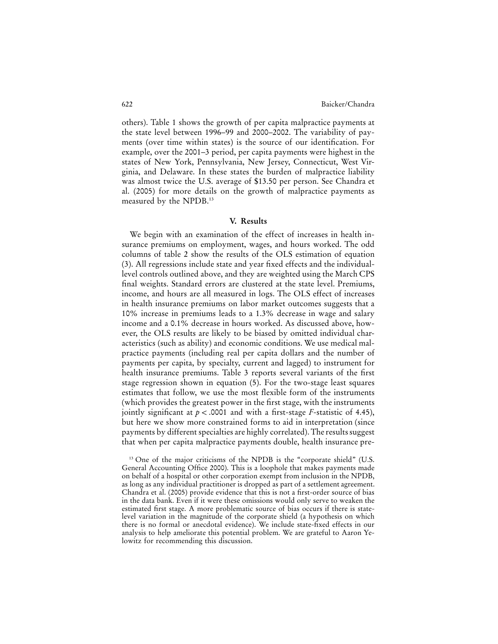others). Table 1 shows the growth of per capita malpractice payments at the state level between 1996–99 and 2000–2002. The variability of payments (over time within states) is the source of our identification. For example, over the 2001–3 period, per capita payments were highest in the states of New York, Pennsylvania, New Jersey, Connecticut, West Virginia, and Delaware. In these states the burden of malpractice liability was almost twice the U.S. average of \$13.50 per person. See Chandra et al. (2005) for more details on the growth of malpractice payments as measured by the NPDB.<sup>13</sup>

## **V. Results**

We begin with an examination of the effect of increases in health insurance premiums on employment, wages, and hours worked. The odd columns of table 2 show the results of the OLS estimation of equation (3). All regressions include state and year fixed effects and the individuallevel controls outlined above, and they are weighted using the March CPS final weights. Standard errors are clustered at the state level. Premiums, income, and hours are all measured in logs. The OLS effect of increases in health insurance premiums on labor market outcomes suggests that a 10% increase in premiums leads to a 1.3% decrease in wage and salary income and a 0.1% decrease in hours worked. As discussed above, however, the OLS results are likely to be biased by omitted individual characteristics (such as ability) and economic conditions. We use medical malpractice payments (including real per capita dollars and the number of payments per capita, by specialty, current and lagged) to instrument for health insurance premiums. Table 3 reports several variants of the first stage regression shown in equation (5). For the two-stage least squares estimates that follow, we use the most flexible form of the instruments (which provides the greatest power in the first stage, with the instruments jointly significant at  $p < .0001$  and with a first-stage *F*-statistic of 4.45), but here we show more constrained forms to aid in interpretation (since payments by different specialties are highly correlated). The results suggest that when per capita malpractice payments double, health insurance pre-

<sup>&</sup>lt;sup>13</sup> One of the major criticisms of the NPDB is the "corporate shield" (U.S. General Accounting Office 2000). This is a loophole that makes payments made on behalf of a hospital or other corporation exempt from inclusion in the NPDB, as long as any individual practitioner is dropped as part of a settlement agreement. Chandra et al. (2005) provide evidence that this is not a first-order source of bias in the data bank. Even if it were these omissions would only serve to weaken the estimated first stage. A more problematic source of bias occurs if there is statelevel variation in the magnitude of the corporate shield (a hypothesis on which there is no formal or anecdotal evidence). We include state-fixed effects in our analysis to help ameliorate this potential problem. We are grateful to Aaron Yelowitz for recommending this discussion.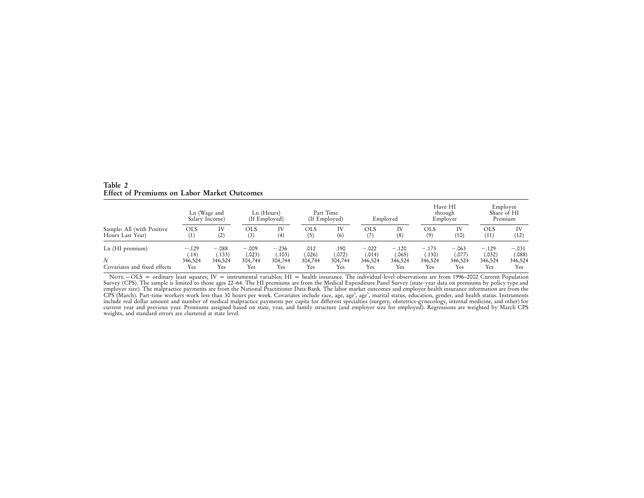|                                                                     | Ln (Wage and<br>Salary Income)     |                                     | Ln (Hours)<br>(If Employed)         |                                     | Part Time<br>(If Employed)       |                                  | Employed                            |                                     | Have HI<br>through<br>Employer      |                                     | Employee<br>Share of HI<br>Premium  |                                     |
|---------------------------------------------------------------------|------------------------------------|-------------------------------------|-------------------------------------|-------------------------------------|----------------------------------|----------------------------------|-------------------------------------|-------------------------------------|-------------------------------------|-------------------------------------|-------------------------------------|-------------------------------------|
| Sample: All (with Positive<br>Hours Last Year)                      | <b>OLS</b><br>(1)                  | IV<br>$\left( 2\right)$             | <b>OLS</b><br>(3)                   | IV<br>(4)                           | OLS<br>(5)                       | IV<br>(6)                        | OLS<br>(7)                          | IV<br>(8)                           | OLS<br>(9)                          | IV<br>(10)                          | <b>OLS</b><br>(11)                  | IV<br>(12)                          |
| Ln (HI premium)<br>$\boldsymbol{N}$<br>Covariates and fixed effects | $-.129$<br>(.14)<br>346,524<br>Yes | $-.088$<br>(.133)<br>346,524<br>Yes | $-.009$<br>(.023)<br>304,744<br>Yes | $-.236$<br>(.103)<br>304,744<br>Yes | .012<br>(.026)<br>304,744<br>Yes | .190<br>(.072)<br>304,744<br>Yes | $-.022$<br>(.014)<br>346,524<br>Yes | $-.120$<br>(.065)<br>346,524<br>Yes | $-.173$<br>(.130)<br>346,524<br>Yes | $-.063$<br>(.077)<br>346,524<br>Yes | $-.129$<br>(.032)<br>346,524<br>Yes | $-.031$<br>(.088)<br>346,524<br>Yes |

**Table 2Effect of Premiums on Labor Market Outcomes**

Note.—OLS = ordinary least squares; IV = instrumental variables; HI = health insurance. The individual-level observations are from 1996–2002 Current Population Survey (CPS). The sample is limited to those ages 22–64. The HI premiums are from the Medical Expenditure Panel Survey (state-year data on premiums by policy type and<br>cmployer size). The malpractice payments are from the N weights, and standard errors are clustered at state level.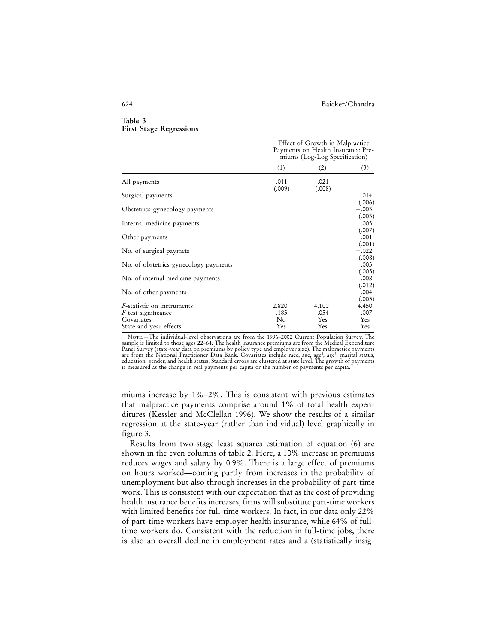## 624 Baicker/Chandra

## **Table 3 First Stage Regressions**

|                                                                                                   | Effect of Growth in Malpractice<br>Payments on Health Insurance Pre-<br>miums (Log-Log Specification) |                             |                                       |  |  |
|---------------------------------------------------------------------------------------------------|-------------------------------------------------------------------------------------------------------|-----------------------------|---------------------------------------|--|--|
|                                                                                                   | (1)                                                                                                   | (2)                         | (3)                                   |  |  |
| All payments                                                                                      | .011                                                                                                  | .021                        |                                       |  |  |
| Surgical payments                                                                                 | (.009)                                                                                                | (.008)                      | .014                                  |  |  |
| Obstetrics-gynecology payments                                                                    |                                                                                                       |                             | (.006)<br>$-.003$                     |  |  |
| Internal medicine payments                                                                        |                                                                                                       |                             | (.003)<br>.005                        |  |  |
| Other payments                                                                                    |                                                                                                       |                             | (.007)<br>$-.001$                     |  |  |
| No. of surgical paymets                                                                           |                                                                                                       |                             | (.001)<br>$-.022$                     |  |  |
| No. of obstetrics-gynecology payments                                                             |                                                                                                       |                             | (.008)<br>.005                        |  |  |
| No. of internal medicine payments                                                                 |                                                                                                       |                             | (.005)<br>.008                        |  |  |
| No. of other payments                                                                             |                                                                                                       |                             | (.012)<br>$-.004$                     |  |  |
| <i>F</i> -statistic on instruments<br>F-test significance<br>Covariates<br>State and year effects | 2.820<br>.185<br>No<br>Yes                                                                            | 4.100<br>.054<br>Yes<br>Yes | (.003)<br>4.450<br>.007<br>Yes<br>Yes |  |  |

NOTE. - The individual-level observations are from the 1996-2002 Current Population Survey. The sample is limited to those ages 22–64. The health insurance premiums are from the Medical Expenditure<br>Panel Survey (state-year data on premiums by policy type and employer size). The malpractice payments<br>are from the Natio

miums increase by 1%–2%. This is consistent with previous estimates that malpractice payments comprise around 1% of total health expenditures (Kessler and McClellan 1996). We show the results of a similar regression at the state-year (rather than individual) level graphically in figure 3.

Results from two-stage least squares estimation of equation (6) are shown in the even columns of table 2. Here, a 10% increase in premiums reduces wages and salary by 0.9%. There is a large effect of premiums on hours worked—coming partly from increases in the probability of unemployment but also through increases in the probability of part-time work. This is consistent with our expectation that as the cost of providing health insurance benefits increases, firms will substitute part-time workers with limited benefits for full-time workers. In fact, in our data only 22% of part-time workers have employer health insurance, while 64% of fulltime workers do. Consistent with the reduction in full-time jobs, there is also an overall decline in employment rates and a (statistically insig-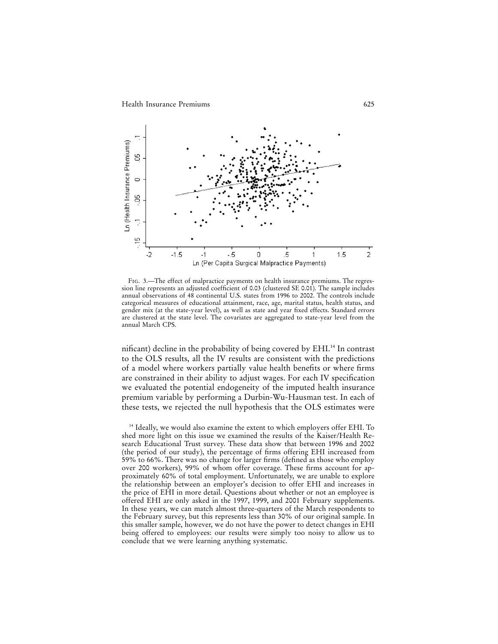

FIG. 3.—The effect of malpractice payments on health insurance premiums. The regression line represents an adjusted coefficient of 0.03 (clustered SE 0.01). The sample includes annual observations of 48 continental U.S. states from 1996 to 2002. The controls include categorical measures of educational attainment, race, age, marital status, health status, and gender mix (at the state-year level), as well as state and year fixed effects. Standard errors are clustered at the state level. The covariates are aggregated to state-year level from the annual March CPS.

nificant) decline in the probability of being covered by EHI.<sup>14</sup> In contrast to the OLS results, all the IV results are consistent with the predictions of a model where workers partially value health benefits or where firms are constrained in their ability to adjust wages. For each IV specification we evaluated the potential endogeneity of the imputed health insurance premium variable by performing a Durbin-Wu-Hausman test. In each of these tests, we rejected the null hypothesis that the OLS estimates were

<sup>&</sup>lt;sup>14</sup> Ideally, we would also examine the extent to which employers offer EHI. To shed more light on this issue we examined the results of the Kaiser/Health Research Educational Trust survey. These data show that between 1996 and 2002 (the period of our study), the percentage of firms offering EHI increased from 59% to 66%. There was no change for larger firms (defined as those who employ over 200 workers), 99% of whom offer coverage. These firms account for approximately 60% of total employment. Unfortunately, we are unable to explore the relationship between an employer's decision to offer EHI and increases in the price of EHI in more detail. Questions about whether or not an employee is offered EHI are only asked in the 1997, 1999, and 2001 February supplements. In these years, we can match almost three-quarters of the March respondents to the February survey, but this represents less than 30% of our original sample. In this smaller sample, however, we do not have the power to detect changes in EHI being offered to employees: our results were simply too noisy to allow us to conclude that we were learning anything systematic.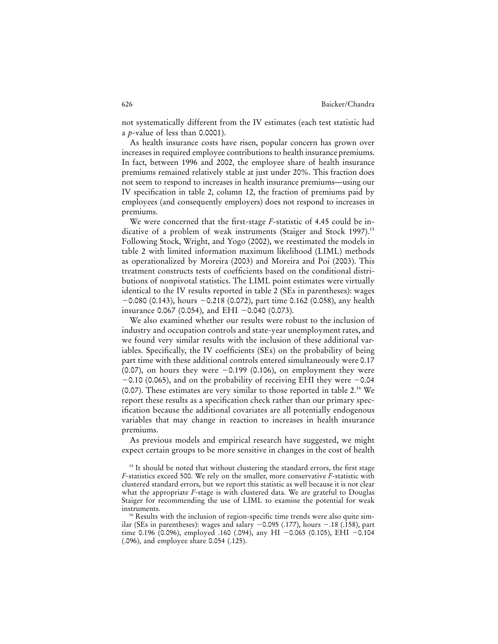not systematically different from the IV estimates (each test statistic had a *p*-value of less than 0.0001).

As health insurance costs have risen, popular concern has grown over increases in required employee contributions to health insurance premiums. In fact, between 1996 and 2002, the employee share of health insurance premiums remained relatively stable at just under 20%. This fraction does not seem to respond to increases in health insurance premiums—using our IV specification in table 2, column 12, the fraction of premiums paid by employees (and consequently employers) does not respond to increases in premiums.

We were concerned that the first-stage *F*-statistic of 4.45 could be indicative of a problem of weak instruments (Staiger and Stock 1997).<sup>15</sup> Following Stock, Wright, and Yogo (2002), we reestimated the models in table 2 with limited information maximum likelihood (LIML) methods as operationalized by Moreira (2003) and Moreira and Poi (2003). This treatment constructs tests of coefficients based on the conditional distributions of nonpivotal statistics. The LIML point estimates were virtually identical to the IV results reported in table 2 (SEs in parentheses): wages  $-0.080$  (0.143), hours  $-0.218$  (0.072), part time 0.162 (0.058), any health insurance 0.067 (0.054), and EHI  $-0.040$  (0.073).

We also examined whether our results were robust to the inclusion of industry and occupation controls and state-year unemployment rates, and we found very similar results with the inclusion of these additional variables. Specifically, the IV coefficients (SEs) on the probability of being part time with these additional controls entered simultaneously were 0.17 (0.07), on hours they were  $-0.199$  (0.106), on employment they were  $-0.10$  (0.065), and on the probability of receiving EHI they were  $-0.04$ (0.07). These estimates are very similar to those reported in table 2.<sup>16</sup> We report these results as a specification check rather than our primary specification because the additional covariates are all potentially endogenous variables that may change in reaction to increases in health insurance premiums.

As previous models and empirical research have suggested, we might expect certain groups to be more sensitive in changes in the cost of health

 $15$  It should be noted that without clustering the standard errors, the first stage *F*-statistics exceed 500. We rely on the smaller, more conservative *F*-statistic with clustered standard errors, but we report this statistic as well because it is not clear what the appropriate *F*-stage is with clustered data. We are grateful to Douglas Staiger for recommending the use of LIML to examine the potential for weak instruments.

<sup>&</sup>lt;sup>16</sup> Results with the inclusion of region-specific time trends were also quite similar (SEs in parentheses): wages and salary  $-0.095$  (.177), hours  $-.18$  (.158), part time 0.196 (0.096), employed .160 (.094), any HI -0.065 (0.105), EHI -0.104 (.096), and employee share 0.054 (.125).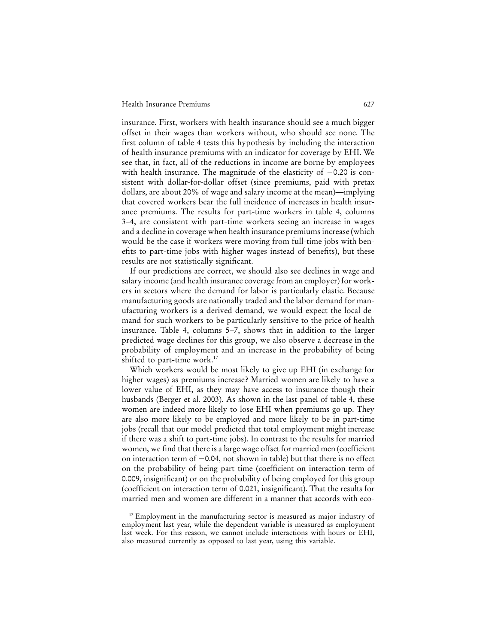insurance. First, workers with health insurance should see a much bigger offset in their wages than workers without, who should see none. The first column of table 4 tests this hypothesis by including the interaction of health insurance premiums with an indicator for coverage by EHI. We see that, in fact, all of the reductions in income are borne by employees with health insurance. The magnitude of the elasticity of  $-0.20$  is consistent with dollar-for-dollar offset (since premiums, paid with pretax dollars, are about 20% of wage and salary income at the mean)—implying that covered workers bear the full incidence of increases in health insurance premiums. The results for part-time workers in table 4, columns 3–4, are consistent with part-time workers seeing an increase in wages and a decline in coverage when health insurance premiums increase (which would be the case if workers were moving from full-time jobs with benefits to part-time jobs with higher wages instead of benefits), but these results are not statistically significant.

If our predictions are correct, we should also see declines in wage and salary income (and health insurance coverage from an employer) for workers in sectors where the demand for labor is particularly elastic. Because manufacturing goods are nationally traded and the labor demand for manufacturing workers is a derived demand, we would expect the local demand for such workers to be particularly sensitive to the price of health insurance. Table 4, columns 5–7, shows that in addition to the larger predicted wage declines for this group, we also observe a decrease in the probability of employment and an increase in the probability of being shifted to part-time work.<sup>17</sup>

Which workers would be most likely to give up EHI (in exchange for higher wages) as premiums increase? Married women are likely to have a lower value of EHI, as they may have access to insurance though their husbands (Berger et al. 2003). As shown in the last panel of table 4, these women are indeed more likely to lose EHI when premiums go up. They are also more likely to be employed and more likely to be in part-time jobs (recall that our model predicted that total employment might increase if there was a shift to part-time jobs). In contrast to the results for married women, we find that there is a large wage offset for married men (coefficient on interaction term of  $-0.04$ , not shown in table) but that there is no effect on the probability of being part time (coefficient on interaction term of 0.009, insignificant) or on the probability of being employed for this group (coefficient on interaction term of 0.021, insignificant). That the results for married men and women are different in a manner that accords with eco-

<sup>&</sup>lt;sup>17</sup> Employment in the manufacturing sector is measured as major industry of employment last year, while the dependent variable is measured as employment last week. For this reason, we cannot include interactions with hours or EHI, also measured currently as opposed to last year, using this variable.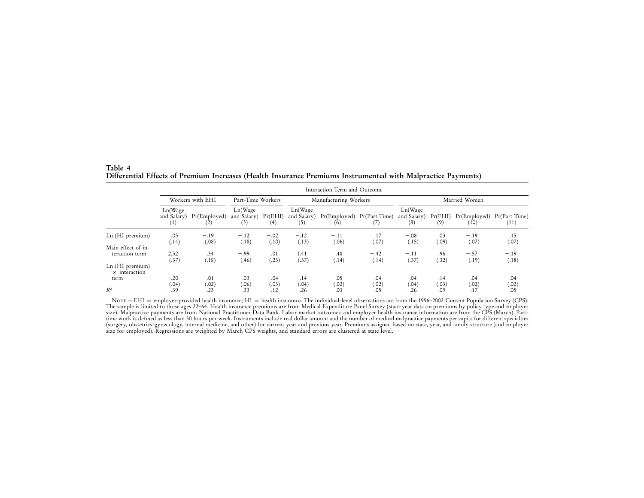|                                      | Interaction Term and Outcome          |                        |                                       |                        |                               |                                   |                     |                               |                        |                      |                       |
|--------------------------------------|---------------------------------------|------------------------|---------------------------------------|------------------------|-------------------------------|-----------------------------------|---------------------|-------------------------------|------------------------|----------------------|-----------------------|
|                                      | Part-Time Workers<br>Workers with EHI |                        |                                       | Manufacturing Workers  |                               |                                   | Married Women       |                               |                        |                      |                       |
|                                      | Ln(Wage<br>and Salary)<br>(1)         | Pr(Employed)<br>(2)    | Ln(Wage<br>and Salary) Pr(EHI)<br>(3) | (4)                    | Ln(Wage<br>and Salary)<br>(5) | Pr(Employed) Pr(Part Time)<br>(6) | (7)                 | Ln(Wage<br>and Salary)<br>(8) | Pr(EHI)<br>(9)         | Pr(Employed)<br>(10) | Pr(Part Time)<br>(11) |
| Ln (HI premium)                      | .05<br>(.14)                          | $-.19$<br>(.08)        | $-.12$<br>(.18)                       | $-.02$<br>(.10)        | $-.12$<br>(.13)               | $-.11$<br>(.06)                   | .17<br>(.07)        | $-.08$<br>(.15)               | .03<br>(.09)           | $-.19$<br>(.07)      | .15<br>(.07)          |
| Main effect of in-<br>teraction term | 2.32<br>(.37)                         | .34<br>(.18)           | $-.99$<br>(.46)                       | .01<br>(.23)           | 1.41<br>(.37)                 | .48<br>(.14)                      | $-.42$<br>(.14)     | $-.11$<br>(.37)               | .96<br>(.32)           | $-.57$<br>(.19)      | $-.19$<br>(.18)       |
| Ln (HI premium)<br>x interaction     |                                       |                        |                                       |                        |                               |                                   |                     |                               |                        |                      |                       |
| term<br>$R^2$                        | $-.20$<br>(.04)<br>.39                | $-.01$<br>(.02)<br>.23 | .03<br>(.06)<br>.33                   | $-.04$<br>(.03)<br>.12 | $-.14$<br>(.04)<br>.26        | $-.05$<br>(.02)<br>.03            | .04<br>(.02)<br>.05 | $-.04$<br>(.04)<br>.26        | $-.14$<br>(.03)<br>.09 | .04<br>(.02)<br>.17  | .04<br>(.02)<br>.05   |

**Table 4** Differential Effects of Premium Increases (Health Insurance Premiums Instrumented with Malpractice Payments)

Note.—EHI = employer-provided health insurance; HI = health insurance. The individual-level observations are from the 1996–2002 Current Population Survey (CPS). The sample is limited to those ages 22–64. Health insurance premiums are from Medical Expenditure Panel Survey (state-year data on premiums by policy type and employer size). Malpractice payments are from National Practitioner Data Bank. Labor market outcomes and employer health insurance information are from the CPS (March). Parttime work is defined as less than 30 hours per week. Instruments include real dollar amount and the number of medical malpractice payments per capita for different specialties<br>(surgery, obstetrics-gynecology, internal medi size for employed). Regressions are weighted by March CPS weights, and standard errors are clustered at state level.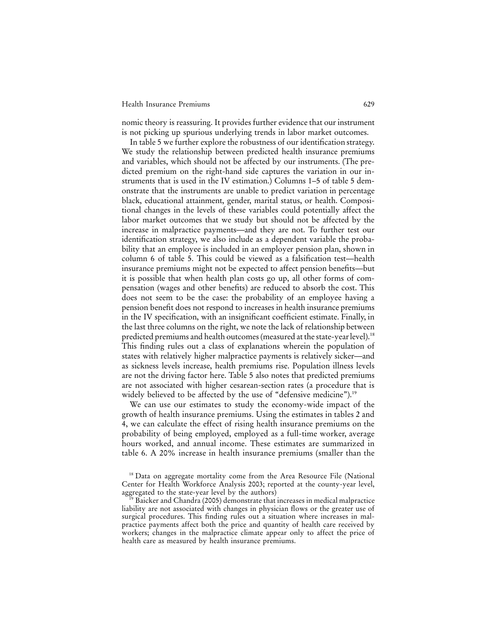nomic theory is reassuring. It provides further evidence that our instrument is not picking up spurious underlying trends in labor market outcomes.

In table 5 we further explore the robustness of our identification strategy. We study the relationship between predicted health insurance premiums and variables, which should not be affected by our instruments. (The predicted premium on the right-hand side captures the variation in our instruments that is used in the IV estimation.) Columns 1–5 of table 5 demonstrate that the instruments are unable to predict variation in percentage black, educational attainment, gender, marital status, or health. Compositional changes in the levels of these variables could potentially affect the labor market outcomes that we study but should not be affected by the increase in malpractice payments—and they are not. To further test our identification strategy, we also include as a dependent variable the probability that an employee is included in an employer pension plan, shown in column 6 of table 5. This could be viewed as a falsification test—health insurance premiums might not be expected to affect pension benefits—but it is possible that when health plan costs go up, all other forms of compensation (wages and other benefits) are reduced to absorb the cost. This does not seem to be the case: the probability of an employee having a pension benefit does not respond to increases in health insurance premiums in the IV specification, with an insignificant coefficient estimate. Finally, in the last three columns on the right, we note the lack of relationship between predicted premiums and health outcomes (measured at the state-yearlevel).18 This finding rules out a class of explanations wherein the population of states with relatively higher malpractice payments is relatively sicker—and as sickness levels increase, health premiums rise. Population illness levels are not the driving factor here. Table 5 also notes that predicted premiums are not associated with higher cesarean-section rates (a procedure that is widely believed to be affected by the use of "defensive medicine").<sup>19</sup>

We can use our estimates to study the economy-wide impact of the growth of health insurance premiums. Using the estimates in tables 2 and 4, we can calculate the effect of rising health insurance premiums on the probability of being employed, employed as a full-time worker, average hours worked, and annual income. These estimates are summarized in table 6. A 20% increase in health insurance premiums (smaller than the

<sup>&</sup>lt;sup>18</sup> Data on aggregate mortality come from the Area Resource File (National Center for Health Workforce Analysis 2003; reported at the county-year level, aggregated to the state-year level by the authors)

<sup>&</sup>lt;sup>19</sup> Baicker and Chandra (2005) demonstrate that increases in medical malpractice liability are not associated with changes in physician flows or the greater use of surgical procedures. This finding rules out a situation where increases in malpractice payments affect both the price and quantity of health care received by workers; changes in the malpractice climate appear only to affect the price of health care as measured by health insurance premiums.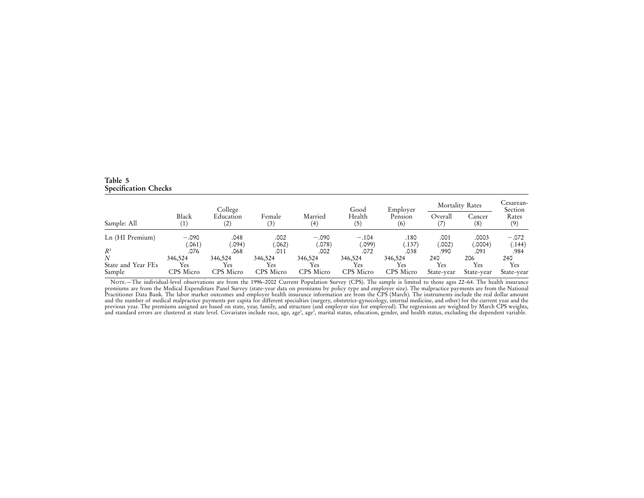| Table 5                     |  |
|-----------------------------|--|
| <b>Specification Checks</b> |  |

|                    |                           | College       |                |                   | Good              | Employer       | Mortality Rates |                                 | Cesarean-<br>Section |
|--------------------|---------------------------|---------------|----------------|-------------------|-------------------|----------------|-----------------|---------------------------------|----------------------|
| Sample: All        | Black<br>$\left(1\right)$ | Education     | Female<br>(3)  | Married<br>(4)    | Health<br>(5)     | Pension<br>(6) | Overall         | Cancer<br>$^{\left( 8\right) }$ | Rates<br>(9)         |
| Ln (HI Premium)    | $-.090$<br>061)           | .048<br>.094) | .002<br>(.062) | $-.090$<br>(.078) | $-.104$<br>(.099) | .180<br>(.137) | .001<br>(.002)  | .0003<br>(.0004)                | $-.072$<br>(.144)    |
| $R^2$              | .076                      | .068          | .011           | .002              | .072              | .038           | .990            | .091                            | .984                 |
| $\boldsymbol{N}$   | 346,524                   | 346,524       | 346,524        | 346,524           | 346,524           | 346,524        | 240             | 206                             | 240                  |
| State and Year FEs | Yes                       | Yes           | Yes            | Yes               | Yes.              | Yes            | Yes             | <b>Yes</b>                      | Yes                  |
| Sample             | CPS Micro                 | CPS Micro     | CPS Micro      | CPS Micro         | CPS Micro         | CPS Micro      | State-year      | State-year                      | State-year           |

Note.—The individual-level observations are from the 1996–2002 Current Population Survey (CPS). The sample is limited to those ages 22–64. The health insurance premiums are from the Medical Expenditure Panel Survey (state-year data on premiums by policy type and employer size). The malpractice payments are from the National<br>Practitioner Data Bank. The labor market outcomes and em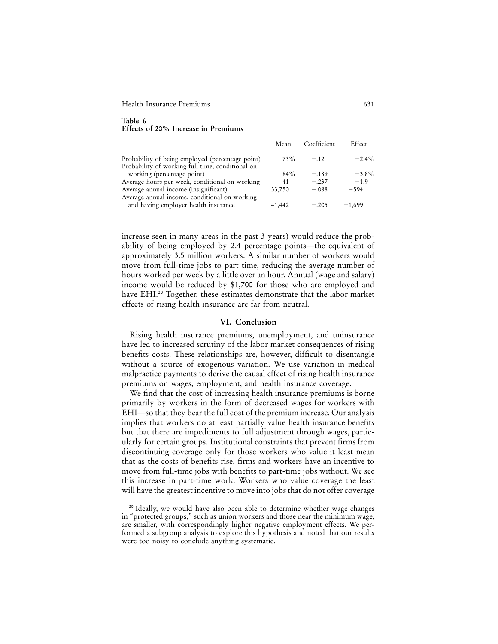**Table 6 Effects of 20% Increase in Premiums**

|                                                  | Mean       | Coefficient | Effect   |
|--------------------------------------------------|------------|-------------|----------|
| Probability of being employed (percentage point) | <b>73%</b> | $-.12$      | $-2.4%$  |
| Probability of working full time, conditional on |            |             |          |
| working (percentage point)                       | 84%        | $-.189$     | $-3.8\%$ |
| Average hours per week, conditional on working   | 41         | $-.237$     | $-1.9$   |
| Average annual income (insignificant)            | 33,750     | $-.088$     | $-594$   |
| Average annual income, conditional on working    |            |             |          |
| and having employer health insurance             | 41,442     | $-.205$     | $-1,699$ |

increase seen in many areas in the past 3 years) would reduce the probability of being employed by 2.4 percentage points—the equivalent of approximately 3.5 million workers. A similar number of workers would move from full-time jobs to part time, reducing the average number of hours worked per week by a little over an hour. Annual (wage and salary) income would be reduced by \$1,700 for those who are employed and have EHI.<sup>20</sup> Together, these estimates demonstrate that the labor market effects of rising health insurance are far from neutral.

## **VI. Conclusion**

Rising health insurance premiums, unemployment, and uninsurance have led to increased scrutiny of the labor market consequences of rising benefits costs. These relationships are, however, difficult to disentangle without a source of exogenous variation. We use variation in medical malpractice payments to derive the causal effect of rising health insurance premiums on wages, employment, and health insurance coverage.

We find that the cost of increasing health insurance premiums is borne primarily by workers in the form of decreased wages for workers with EHI—so that they bear the full cost of the premium increase. Our analysis implies that workers do at least partially value health insurance benefits but that there are impediments to full adjustment through wages, particularly for certain groups. Institutional constraints that prevent firms from discontinuing coverage only for those workers who value it least mean that as the costs of benefits rise, firms and workers have an incentive to move from full-time jobs with benefits to part-time jobs without. We see this increase in part-time work. Workers who value coverage the least will have the greatest incentive to move into jobs that do not offer coverage

<sup>&</sup>lt;sup>20</sup> Ideally, we would have also been able to determine whether wage changes in "protected groups," such as union workers and those near the minimum wage, are smaller, with correspondingly higher negative employment effects. We performed a subgroup analysis to explore this hypothesis and noted that our results were too noisy to conclude anything systematic.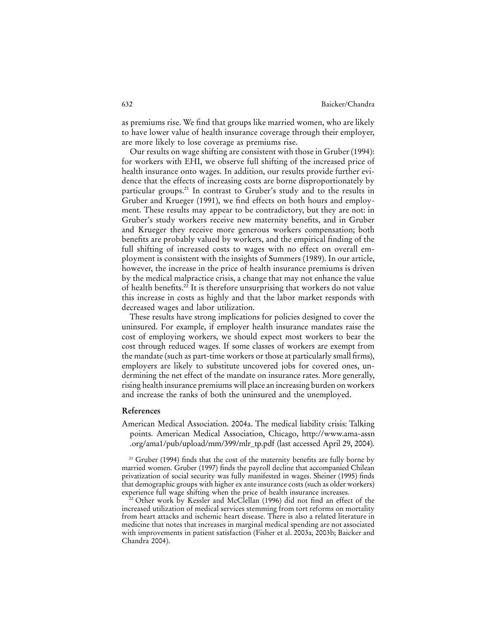as premiums rise. We find that groups like married women, who are likely to have lower value of health insurance coverage through their employer, are more likely to lose coverage as premiums rise.

Our results on wage shifting are consistent with those in Gruber (1994): for workers with EHI, we observe full shifting of the increased price of health insurance onto wages. In addition, our results provide further evidence that the effects of increasing costs are borne disproportionately by particular groups.<sup>21</sup> In contrast to Gruber's study and to the results in Gruber and Krueger (1991), we find effects on both hours and employment. These results may appear to be contradictory, but they are not: in Gruber's study workers receive new maternity benefits, and in Gruber and Krueger they receive more generous workers compensation; both benefits are probably valued by workers, and the empirical finding of the full shifting of increased costs to wages with no effect on overall employment is consistent with the insights of Summers (1989). In our article, however, the increase in the price of health insurance premiums is driven by the medical malpractice crisis, a change that may not enhance the value of health benefits.22 It is therefore unsurprising that workers do not value this increase in costs as highly and that the labor market responds with decreased wages and labor utilization.

These results have strong implications for policies designed to cover the uninsured. For example, if employer health insurance mandates raise the cost of employing workers, we should expect most workers to bear the cost through reduced wages. If some classes of workers are exempt from the mandate (such as part-time workers or those at particularly small firms), employers are likely to substitute uncovered jobs for covered ones, undermining the net effect of the mandate on insurance rates. More generally, rising health insurance premiums will place an increasing burden on workers and increase the ranks of both the uninsured and the unemployed.

## **References**

American Medical Association. 2004a. The medical liability crisis: Talking points. American Medical Association, Chicago, http://www.ama-assn .org/ama1/pub/upload/mm/399/mlr\_tp.pdf (last accessed April 29, 2004).

<sup>21</sup> Gruber (1994) finds that the cost of the maternity benefits are fully borne by married women. Gruber (1997) finds the payroll decline that accompanied Chilean privatization of social security was fully manifested in wages. Sheiner (1995) finds that demographic groups with higher ex ante insurance costs (such as older workers) experience full wage shifting when the price of health insurance increases.

<sup>22</sup> Other work by Kessler and McClellan (1996) did not find an effect of the increased utilization of medical services stemming from tort reforms on mortality from heart attacks and ischemic heart disease. There is also a related literature in medicine that notes that increases in marginal medical spending are not associated with improvements in patient satisfaction (Fisher et al. 2003a, 2003b; Baicker and Chandra 2004).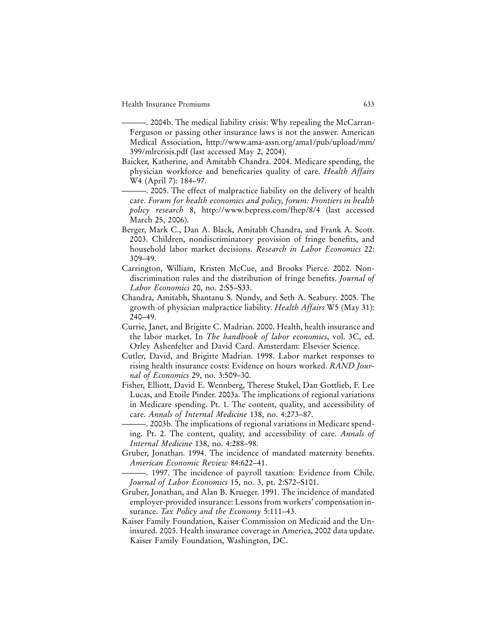- –. 2004b. The medical liability crisis: Why repealing the McCarran-Ferguson or passing other insurance laws is not the answer. American Medical Association, http://www.ama-assn.org/ama1/pub/upload/mm/ 399/mlrcrisis.pdf (last accessed May 2, 2004).
- Baicker, Katherine, and Amitabh Chandra. 2004. Medicare spending, the physician workforce and beneficaries quality of care. *Health Affairs* W4 (April 7): 184–97.
- –. 2005. The effect of malpractice liability on the delivery of health care. *Forum for health economics and policy, forum: Frontiers in health policy research* 8, http://www.bepress.com/fhep/8/4 (last accessed March 25, 2006).
- Berger, Mark C., Dan A. Black, Amitabh Chandra, and Frank A. Scott. 2003. Children, nondiscriminatory provision of fringe benefits, and household labor market decisions. *Research in Labor Economics* 22: 309–49.
- Carrington, William, Kristen McCue, and Brooks Pierce. 2002. Nondiscrimination rules and the distribution of fringe benefits. *Journal of Labor Economics* 20, no. 2:S5–S33.
- Chandra, Amitabh, Shantanu S. Nundy, and Seth A. Seabury. 2005. The growth of physician malpractice liability. *Health Affairs* W5 (May 31): 240–49.
- Currie, Janet, and Brigitte C. Madrian. 2000. Health, health insurance and the labor market. In *The handbook of labor economics*, vol. 3C, ed. Orley Ashenfelter and David Card. Amsterdam: Elsevier Science.
- Cutler, David, and Brigitte Madrian. 1998. Labor market responses to rising health insurance costs: Evidence on hours worked. *RAND Journal of Economics* 29, no. 3:509–30.
- Fisher, Elliott, David E. Wennberg, Therese Stukel, Dan Gottlieb, F. Lee Lucas, and Etoile Pinder. 2003a. The implications of regional variations in Medicare spending. Pt. 1. The content, quality, and accessibility of care. *Annals of Internal Medicine* 138, no. 4:273–87.
- ———. 2003b. The implications of regional variations in Medicare spending. Pt. 2. The content, quality, and accessibility of care. *Annals of Internal Medicine* 138, no. 4:288–98.
- Gruber, Jonathan. 1994. The incidence of mandated maternity benefits. *American Economic Review* 84:622–41.
- ———. 1997. The incidence of payroll taxation: Evidence from Chile. *Journal of Labor Economics* 15, no. 3, pt. 2:S72–S101.
- Gruber, Jonathan, and Alan B. Krueger. 1991. The incidence of mandated employer-provided insurance: Lessons from workers' compensation insurance. *Tax Policy and the Economy* 5:111–43.
- Kaiser Family Foundation, Kaiser Commission on Medicaid and the Uninsured. 2003. Health insurance coverage in America, 2002 data update. Kaiser Family Foundation, Washington, DC.